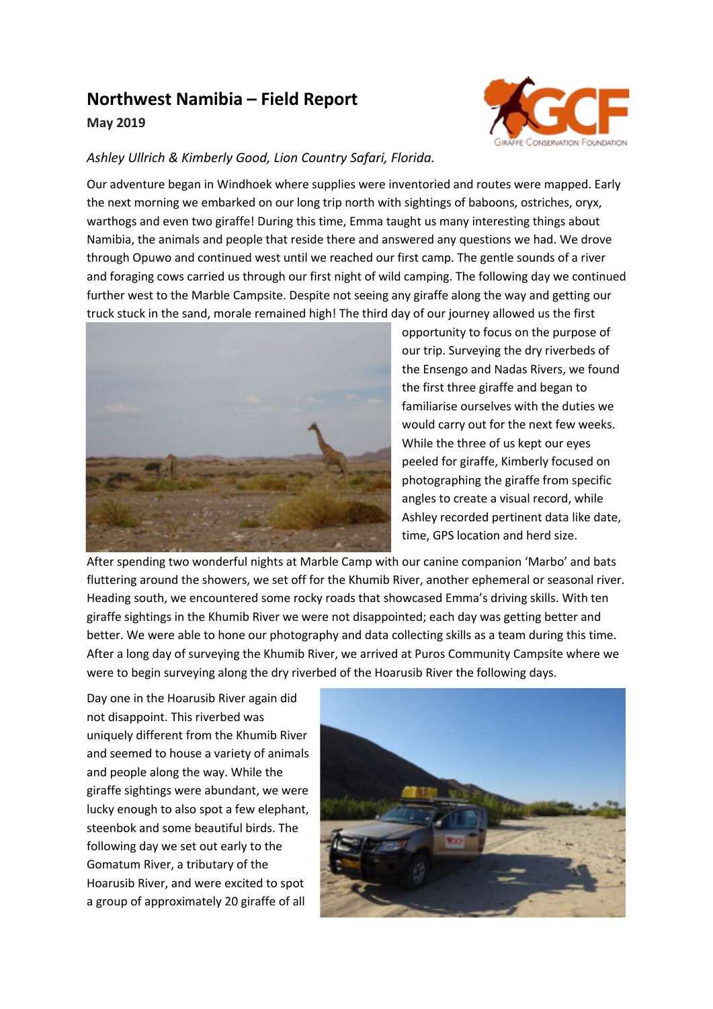## **Northwest Namibia – Field Report**

## **May 2019**



## *Ashley Ullrich & Kimberly Good, Lion Country Safari, Florida.*

Our adventure began in Windhoek where supplies were inventoried and routes were mapped. Early the next morning we embarked on our long trip north with sightings of baboons, ostriches, oryx, warthogs and even two giraffe! During this time, Emma taught us many interesting things about Namibia, the animals and people that reside there and answered any questions we had. We drove through Opuwo and continued west until we reached our first camp. The gentle sounds of a river and foraging cows carried us through our first night of wild camping. The following day we continued further west to the Marble Campsite. Despite not seeing any giraffe along the way and getting our truck stuck in the sand, morale remained high! The third day of our journey allowed us the first



opportunity to focus on the purpose of our trip. Surveying the dry riverbeds of the Ensengo and Nadas Rivers, we found the first three giraffe and began to familiarise ourselves with the duties we would carry out for the next few weeks. While the three of us kept our eyes peeled for giraffe, Kimberly focused on photographing the giraffe from specific angles to create a visual record, while Ashley recorded pertinent data like date, time, GPS location and herd size.

After spending two wonderful nights at Marble Camp with our canine companion 'Marbo' and bats fluttering around the showers, we set off for the Khumib River, another ephemeral or seasonal river. Heading south, we encountered some rocky roads that showcased Emma's driving skills. With ten giraffe sightings in the Khumib River we were not disappointed; each day was getting better and better. We were able to hone our photography and data collecting skills as a team during this time. After a long day of surveying the Khumib River, we arrived at Puros Community Campsite where we were to begin surveying along the dry riverbed of the Hoarusib River the following days.

Day one in the Hoarusib River again did not disappoint. This riverbed was uniquely different from the Khumib River and seemed to house a variety of animals and people along the way. While the giraffe sightings were abundant, we were lucky enough to also spot a few elephant, steenbok and some beautiful birds. The following day we set out early to the Gomatum River, a tributary of the Hoarusib River, and were excited to spot a group of approximately 20 giraffe of all

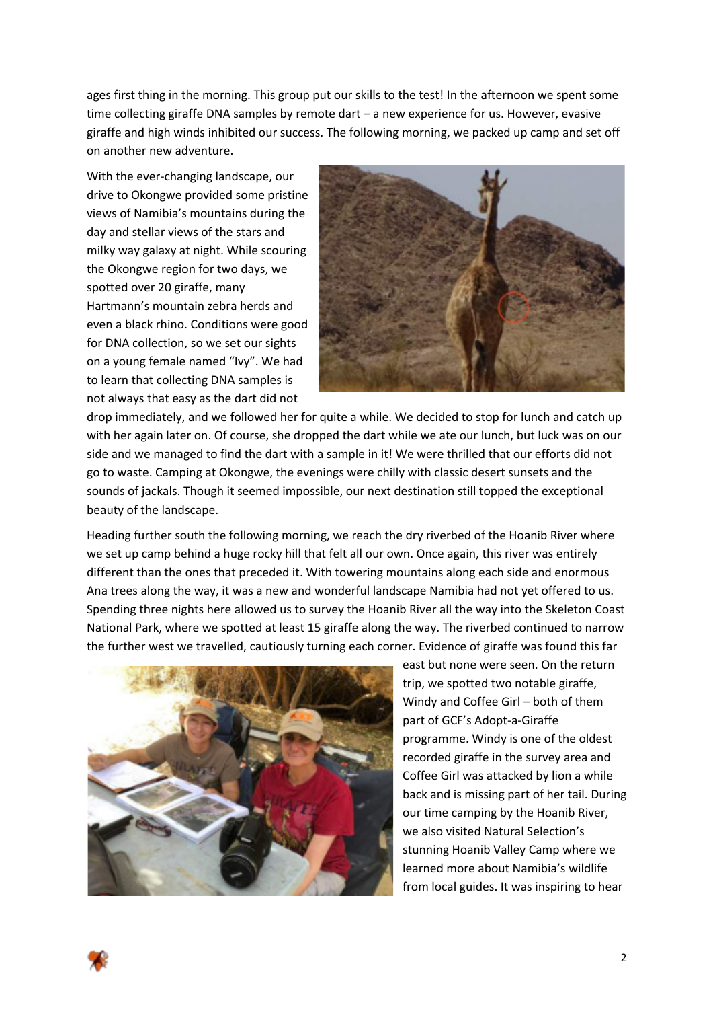ages first thing in the morning. This group put our skills to the test! In the afternoon we spent some time collecting giraffe DNA samples by remote dart – a new experience for us. However, evasive giraffe and high winds inhibited our success. The following morning, we packed up camp and set off on another new adventure.

With the ever-changing landscape, our drive to Okongwe provided some pristine views of Namibia's mountains during the day and stellar views of the stars and milky way galaxy at night. While scouring the Okongwe region for two days, we spotted over 20 giraffe, many Hartmann's mountain zebra herds and even a black rhino. Conditions were good for DNA collection, so we set our sights on a young female named "Ivy". We had to learn that collecting DNA samples is not always that easy as the dart did not



drop immediately, and we followed her for quite a while. We decided to stop for lunch and catch up with her again later on. Of course, she dropped the dart while we ate our lunch, but luck was on our side and we managed to find the dart with a sample in it! We were thrilled that our efforts did not go to waste. Camping at Okongwe, the evenings were chilly with classic desert sunsets and the sounds of jackals. Though it seemed impossible, our next destination still topped the exceptional beauty of the landscape.

Heading further south the following morning, we reach the dry riverbed of the Hoanib River where we set up camp behind a huge rocky hill that felt all our own. Once again, this river was entirely different than the ones that preceded it. With towering mountains along each side and enormous Ana trees along the way, it was a new and wonderful landscape Namibia had not yet offered to us. Spending three nights here allowed us to survey the Hoanib River all the way into the Skeleton Coast National Park, where we spotted at least 15 giraffe along the way. The riverbed continued to narrow the further west we travelled, cautiously turning each corner. Evidence of giraffe was found this far



east but none were seen. On the return trip, we spotted two notable giraffe, Windy and Coffee Girl – both of them part of GCF's Adopt-a-Giraffe programme. Windy is one of the oldest recorded giraffe in the survey area and Coffee Girl was attacked by lion a while back and is missing part of her tail. During our time camping by the Hoanib River, we also visited Natural Selection's stunning Hoanib Valley Camp where we learned more about Namibia's wildlife from local guides. It was inspiring to hear